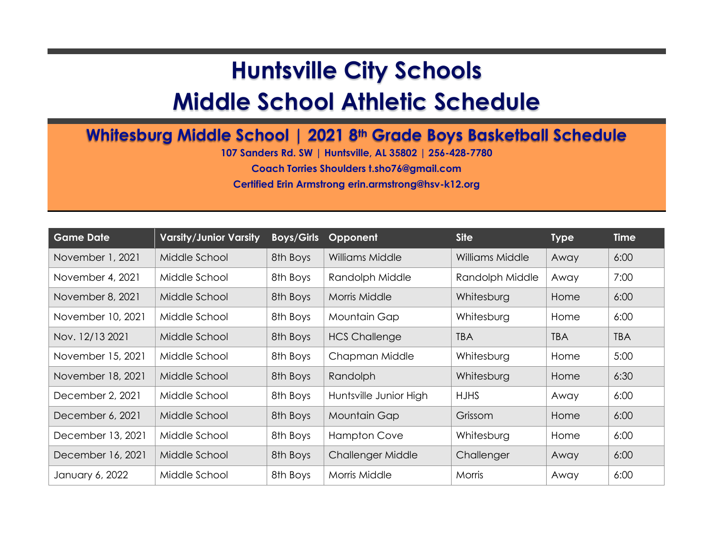## **Huntsville City Schools**

## **Middle School Athletic Schedule**

## **Whitesburg Middle School | 2021 8th Grade Boys Basketball Schedule**

**107 Sanders Rd. SW | Huntsville, AL 35802 | 256-428-7780**

**Coach Torries Shoulders t.sho76@gmail.com**

**Certified Erin Armstrong erin.armstrong@hsv-k12.org**

| <b>Game Date</b>  | <b>Varsity/Junior Varsity</b> | <b>Boys/Girls</b> | Opponent               | <b>Site</b>     | <b>Type</b> | <b>Time</b> |
|-------------------|-------------------------------|-------------------|------------------------|-----------------|-------------|-------------|
| November 1, 2021  | Middle School                 | 8th Boys          | Williams Middle        | Williams Middle | Away        | 6:00        |
| November 4, 2021  | Middle School                 | 8th Boys          | Randolph Middle        | Randolph Middle | Away        | 7:00        |
| November 8, 2021  | Middle School                 | 8th Boys          | Morris Middle          | Whitesburg      | Home        | 6:00        |
| November 10, 2021 | Middle School                 | 8th Boys          | Mountain Gap           | Whitesburg      | Home        | 6:00        |
| Nov. 12/13 2021   | Middle School                 | 8th Boys          | <b>HCS Challenge</b>   | <b>TBA</b>      | <b>TBA</b>  | <b>TBA</b>  |
| November 15, 2021 | Middle School                 | 8th Boys          | Chapman Middle         | Whitesburg      | Home        | 5:00        |
| November 18, 2021 | Middle School                 | 8th Boys          | Randolph               | Whitesburg      | Home        | 6:30        |
| December 2, 2021  | Middle School                 | 8th Boys          | Huntsville Junior High | <b>HJHS</b>     | Away        | 6:00        |
| December 6, 2021  | Middle School                 | 8th Boys          | Mountain Gap           | Grissom         | Home        | 6:00        |
| December 13, 2021 | Middle School                 | 8th Boys          | <b>Hampton Cove</b>    | Whitesburg      | Home        | 6:00        |
| December 16, 2021 | Middle School                 | 8th Boys          | Challenger Middle      | Challenger      | Away        | 6:00        |
| January 6, 2022   | Middle School                 | 8th Boys          | Morris Middle          | Morris          | Away        | 6:00        |